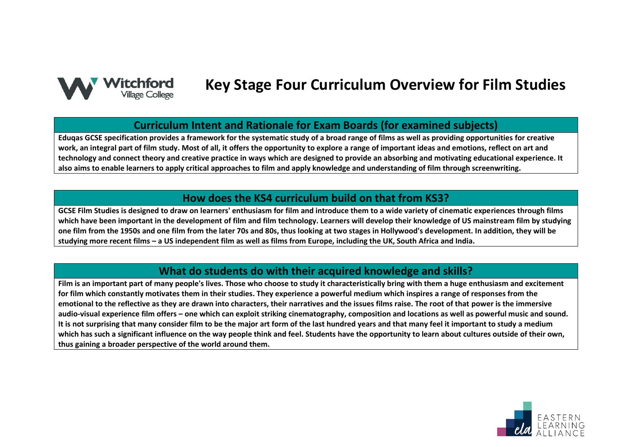

# **Key Stage Four Curriculum Overview for Film Studies**

#### **Curriculum Intent and Rationale for Exam Boards (for examined subjects)**

**Eduqas GCSE specification provides a framework for the systematic study of a broad range of films as well as providing opportunities for creative work, an integral part of film study. Most of all, it offers the opportunity to explore a range of important ideas and emotions, reflect on art and technology and connect theory and creative practice in ways which are designed to provide an absorbing and motivating educational experience. It also aims to enable learners to apply critical approaches to film and apply knowledge and understanding of film through screenwriting.**

#### **How does the KS4 curriculum build on that from KS3?**

**GCSE Film Studies is designed to draw on learners' enthusiasm for film and introduce them to a wide variety of cinematic experiences through films which have been important in the development of film and film technology. Learners will develop their knowledge of US mainstream film by studying one film from the 1950s and one film from the later 70s and 80s, thus looking at two stages in Hollywood's development. In addition, they will be studying more recent films – a US independent film as well as films from Europe, including the UK, South Africa and India.**

### **What do students do with their acquired knowledge and skills?**

**Film is an important part of many people's lives. Those who choose to study it characteristically bring with them a huge enthusiasm and excitement for film which constantly motivates them in their studies. They experience a powerful medium which inspires a range of responses from the emotional to the reflective as they are drawn into characters, their narratives and the issues films raise. The root of that power is the immersive audio-visual experience film offers – one which can exploit striking cinematography, composition and locations as well as powerful music and sound. It is not surprising that many consider film to be the major art form of the last hundred years and that many feel it important to study a medium which has such a significant influence on the way people think and feel. Students have the opportunity to learn about cultures outside of their own, thus gaining a broader perspective of the world around them.**

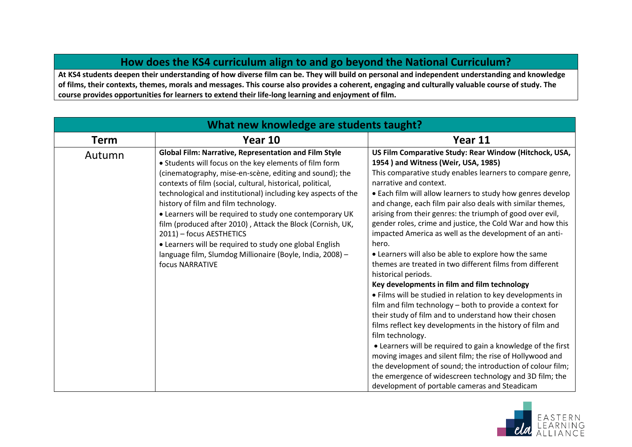### **How does the KS4 curriculum align to and go beyond the National Curriculum?**

**At KS4 students deepen their understanding of how diverse film can be. They will build on personal and independent understanding and knowledge of films, their contexts, themes, morals and messages. This course also provides a coherent, engaging and culturally valuable course of study. The course provides opportunities for learners to extend their life-long learning and enjoyment of film.**

| What new knowledge are students taught? |                                                                                                                                                                                                                                                                                                                                                                                                                                                                                                                                                                                                                                                           |                                                                                                                                                                                                                                                                                                                                                                                                                                                                                                                                                                                                                                                                                                                                                                                                                                                                                                                                                                                                                                                                                                                                                                                                                                                                                        |
|-----------------------------------------|-----------------------------------------------------------------------------------------------------------------------------------------------------------------------------------------------------------------------------------------------------------------------------------------------------------------------------------------------------------------------------------------------------------------------------------------------------------------------------------------------------------------------------------------------------------------------------------------------------------------------------------------------------------|----------------------------------------------------------------------------------------------------------------------------------------------------------------------------------------------------------------------------------------------------------------------------------------------------------------------------------------------------------------------------------------------------------------------------------------------------------------------------------------------------------------------------------------------------------------------------------------------------------------------------------------------------------------------------------------------------------------------------------------------------------------------------------------------------------------------------------------------------------------------------------------------------------------------------------------------------------------------------------------------------------------------------------------------------------------------------------------------------------------------------------------------------------------------------------------------------------------------------------------------------------------------------------------|
| Term                                    | Year 10                                                                                                                                                                                                                                                                                                                                                                                                                                                                                                                                                                                                                                                   | Year 11                                                                                                                                                                                                                                                                                                                                                                                                                                                                                                                                                                                                                                                                                                                                                                                                                                                                                                                                                                                                                                                                                                                                                                                                                                                                                |
| Autumn                                  | <b>Global Film: Narrative, Representation and Film Style</b><br>• Students will focus on the key elements of film form<br>(cinematography, mise-en-scène, editing and sound); the<br>contexts of film (social, cultural, historical, political,<br>technological and institutional) including key aspects of the<br>history of film and film technology.<br>• Learners will be required to study one contemporary UK<br>film (produced after 2010), Attack the Block (Cornish, UK,<br>2011) - focus AESTHETICS<br>• Learners will be required to study one global English<br>language film, Slumdog Millionaire (Boyle, India, 2008) -<br>focus NARRATIVE | US Film Comparative Study: Rear Window (Hitchock, USA,<br>1954) and Witness (Weir, USA, 1985)<br>This comparative study enables learners to compare genre,<br>narrative and context.<br>. Each film will allow learners to study how genres develop<br>and change, each film pair also deals with similar themes,<br>arising from their genres: the triumph of good over evil,<br>gender roles, crime and justice, the Cold War and how this<br>impacted America as well as the development of an anti-<br>hero.<br>• Learners will also be able to explore how the same<br>themes are treated in two different films from different<br>historical periods.<br>Key developments in film and film technology<br>• Films will be studied in relation to key developments in<br>film and film technology - both to provide a context for<br>their study of film and to understand how their chosen<br>films reflect key developments in the history of film and<br>film technology.<br>• Learners will be required to gain a knowledge of the first<br>moving images and silent film; the rise of Hollywood and<br>the development of sound; the introduction of colour film;<br>the emergence of widescreen technology and 3D film; the<br>development of portable cameras and Steadicam |

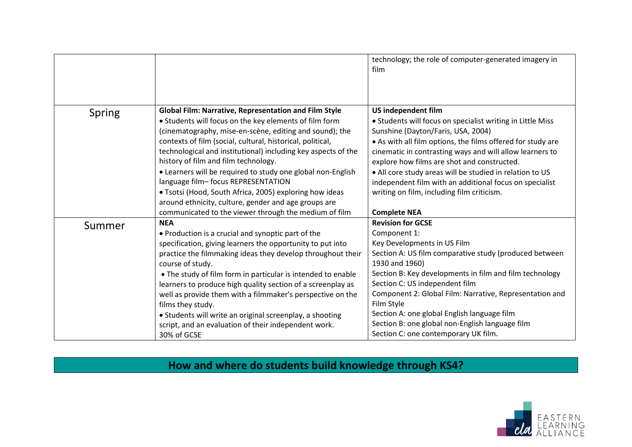|               |                                                                                                                                                                                                                                                                                                                                                                                                                                                                                                                                                                                                                                 | technology; the role of computer-generated imagery in<br>film                                                                                                                                                                                                                                                                                                                                                                                                                              |
|---------------|---------------------------------------------------------------------------------------------------------------------------------------------------------------------------------------------------------------------------------------------------------------------------------------------------------------------------------------------------------------------------------------------------------------------------------------------------------------------------------------------------------------------------------------------------------------------------------------------------------------------------------|--------------------------------------------------------------------------------------------------------------------------------------------------------------------------------------------------------------------------------------------------------------------------------------------------------------------------------------------------------------------------------------------------------------------------------------------------------------------------------------------|
| <b>Spring</b> | <b>Global Film: Narrative, Representation and Film Style</b><br>• Students will focus on the key elements of film form<br>(cinematography, mise-en-scène, editing and sound); the<br>contexts of film (social, cultural, historical, political,<br>technological and institutional) including key aspects of the<br>history of film and film technology.<br>• Learners will be required to study one global non-English<br>language film- focus REPRESENTATION<br>• Tsotsi (Hood, South Africa, 2005) exploring how ideas<br>around ethnicity, culture, gender and age groups are                                               | US independent film<br>• Students will focus on specialist writing in Little Miss<br>Sunshine (Dayton/Faris, USA, 2004)<br>• As with all film options, the films offered for study are<br>cinematic in contrasting ways and will allow learners to<br>explore how films are shot and constructed.<br>• All core study areas will be studied in relation to US<br>independent film with an additional focus on specialist<br>writing on film, including film criticism.                     |
| Summer        | communicated to the viewer through the medium of film<br><b>NEA</b><br>• Production is a crucial and synoptic part of the<br>specification, giving learners the opportunity to put into<br>practice the filmmaking ideas they develop throughout their<br>course of study.<br>• The study of film form in particular is intended to enable<br>learners to produce high quality section of a screenplay as<br>well as provide them with a filmmaker's perspective on the<br>films they study.<br>• Students will write an original screenplay, a shooting<br>script, and an evaluation of their independent work.<br>30% of GCSE | <b>Complete NEA</b><br><b>Revision for GCSE</b><br>Component 1:<br>Key Developments in US Film<br>Section A: US film comparative study (produced between<br>1930 and 1960)<br>Section B: Key developments in film and film technology<br>Section C: US independent film<br>Component 2: Global Film: Narrative, Representation and<br>Film Style<br>Section A: one global English language film<br>Section B: one global non-English language film<br>Section C: one contemporary UK film. |

## **How and where do students build knowledge through KS4?**